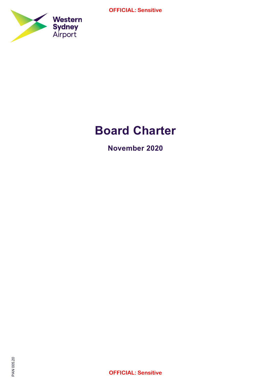

# Board Charter

November 2020

OFFICIAL: Sensitive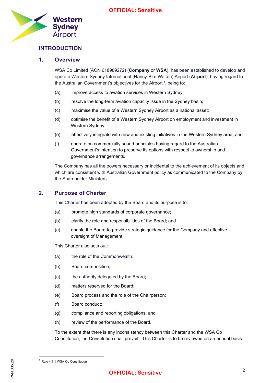

# INTRODUCTION

#### 1. Overview

WSA Co Limited (ACN 618989272) (Company or WSA), has been established to develop and operate Western Sydney International (Nancy-Bird Walton) Airport (Airport), having regard to the Australian Government's objectives for the Airport<sup>1</sup>, being to:

- (a) improve access to aviation services in Western Sydney;
- (b) resolve the long-term aviation capacity issue in the Sydney basin;
- (c) maximise the value of a Western Sydney Airport as a national asset;
- (d) optimise the benefit of a Western Sydney Airport on employment and investment in Western Sydney;
- (e) effectively integrate with new and existing initiatives in the Western Sydney area; and
- (f) operate on commercially sound principles having regard to the Australian Government's intention to preserve its options with respect to ownership and governance arrangements.

The Company has all the powers necessary or incidental to the achievement of its objects and which are consistent with Australian Government policy as communicated to the Company by the Shareholder Ministers.

#### 2. Purpose of Charter

This Charter has been adopted by the Board and its purpose is to:

- (a) promote high standards of corporate governance;
- (b) clarify the role and responsibilities of the Board; and
- (c) enable the Board to provide strategic guidance for the Company and effective oversight of Management.

This Charter also sets out:

- (a) the role of the Commonwealth;
- (b) Board composition;
- (c) the authority delegated by the Board;
- (d) matters reserved for the Board;
- (e) Board process and the role of the Chairperson;
- (f) Board conduct;
- (g) compliance and reporting obligations; and
- (h) review of the performance of the Board.

To the extent that there is any inconsistency between this Charter and the WSA Co Constitution, the Constitution shall prevail. This Charter is to be reviewed on an annual basis.

S<sub>Q</sub><br>905.2006<br>205.2010<br>PL <sup>1</sup> Rule 4.1.1 WSA Co Constitution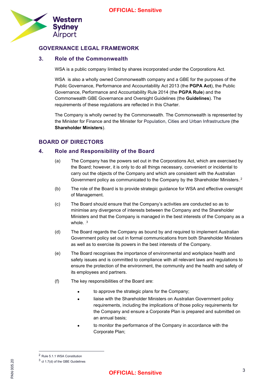

#### GOVERNANCE LEGAL FRAMEWORK

#### 3. Role of the Commonwealth

WSA is a public company limited by shares incorporated under the Corporations Act.

WSA is also a wholly owned Commonwealth company and a GBE for the purposes of the Public Governance, Performance and Accountability Act 2013 (the PGPA Act), the Public Governance, Performance and Accountability Rule 2014 (the PGPA Rule) and the Commonwealth GBE Governance and Oversight Guidelines (the Guidelines). The requirements of these regulations are reflected in this Charter.

The Company is wholly owned by the Commonwealth. The Commonwealth is represented by the Minister for Finance and the Minister for Population, Cities and Urban Infrastructure (the Shareholder Ministers).

# BOARD OF DIRECTORS

#### 4. Role and Responsibility of the Board

- (a) The Company has the powers set out in the Corporations Act, which are exercised by the Board; however, it is only to do all things necessary, convenient or incidental to carry out the objects of the Company and which are consistent with the Australian Government policy as communicated to the Company by the Shareholder Ministers.<sup>2</sup>
- (b) The role of the Board is to provide strategic guidance for WSA and effective oversight of Management.
- (c) The Board should ensure that the Company's activities are conducted so as to minimise any divergence of interests between the Company and the Shareholder Ministers and that the Company is managed in the best interests of the Company as a whole.  $3$
- (d) The Board regards the Company as bound by and required to implement Australian Government policy set out in formal communications from both Shareholder Ministers as well as to exercise its powers in the best interests of the Company.
- (e) The Board recognises the importance of environmental and workplace health and safety issues and is committed to compliance with all relevant laws and regulations to ensure the protection of the environment, the community and the health and safety of its employees and partners.
- (f) The key responsibilities of the Board are:
	- to approve the strategic plans for the Company;
	- liaise with the Shareholder Ministers on Australian Government policy requirements, including the implications of those policy requirements for the Company and ensure a Corporate Plan is prepared and submitted on an annual basis;
	- to monitor the performance of the Company in accordance with the Corporate Plan;

<sup>2</sup> Rule 5.1.1 WSA Constitution

 $\frac{5}{20}$ <br>  $\frac{3}{20}$  cl 1.7(d) or<br>  $\frac{3}{20}$  cl 1.7(d) or  $3$  cl 1.7(d) of the GBE Guidelines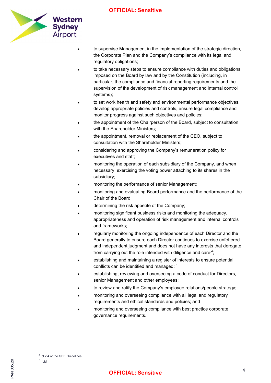

- to supervise Management in the implementation of the strategic direction, the Corporate Plan and the Company's compliance with its legal and regulatory obligations;
- to take necessary steps to ensure compliance with duties and obligations imposed on the Board by law and by the Constitution (including, in particular, the compliance and financial reporting requirements and the supervision of the development of risk management and internal control systems);
- to set work health and safety and environmental performance objectives, develop appropriate policies and controls, ensure legal compliance and monitor progress against such objectives and policies;
- the appointment of the Chairperson of the Board, subject to consultation with the Shareholder Ministers;
- the appointment, removal or replacement of the CEO, subject to consultation with the Shareholder Ministers;
- considering and approving the Company's remuneration policy for executives and staff;
- monitoring the operation of each subsidiary of the Company, and when necessary, exercising the voting power attaching to its shares in the subsidiary;
- monitoring the performance of senior Management;
- monitoring and evaluating Board performance and the performance of the Chair of the Board;
- determining the risk appetite of the Company;
- monitoring significant business risks and monitoring the adequacy, appropriateness and operation of risk management and internal controls and frameworks;
- regularly monitoring the ongoing independence of each Director and the Board generally to ensure each Director continues to exercise unfettered and independent judgment and does not have any interests that derogate from carrying out the role intended with diligence and care $4$ ;
- establishing and maintaining a register of interests to ensure potential conflicts can be identified and managed; $5$
- establishing, reviewing and overseeing a code of conduct for Directors, senior Management and other employees;
- to review and ratify the Company's employee relations/people strategy;
- monitoring and overseeing compliance with all legal and regulatory requirements and ethical standards and policies; and
- monitoring and overseeing compliance with best practice corporate governance requirements.

<sup>&</sup>lt;sup>4</sup> cl 2.4 of the GBE Guidelines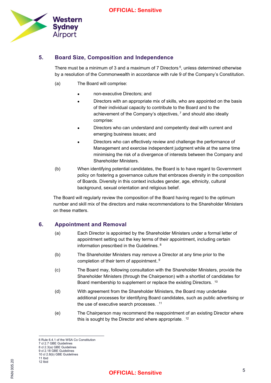

# 5. Board Size, Composition and Independence

There must be a minimum of 3 and a maximum of 7 Directors.<sup>6</sup>, unless determined otherwise by a resolution of the Commonwealth in accordance with rule 9 of the Company's Constitution.

- (a) The Board will comprise:
	- non-executive Directors; and
	- Directors with an appropriate mix of skills, who are appointed on the basis of their individual capacity to contribute to the Board and to the achievement of the Company's objectives, $<sup>7</sup>$  and should also ideally</sup> comprise:
	- Directors who can understand and competently deal with current and emerging business issues; and
	- Directors who can effectively review and challenge the performance of Management and exercise independent judgment while at the same time minimising the risk of a divergence of interests between the Company and Shareholder Ministers.
- (b) When identifying potential candidates, the Board is to have regard to Government policy on fostering a governance culture that embraces diversity in the composition of Boards. Diversity in this context includes gender, age, ethnicity, cultural background, sexual orientation and religious belief.

The Board will regularly review the composition of the Board having regard to the optimum number and skill mix of the directors and make recommendations to the Shareholder Ministers on these matters.

# 6. Appointment and Removal

- (a) Each Director is appointed by the Shareholder Ministers under a formal letter of appointment setting out the key terms of their appointment, including certain information prescribed in the Guidelines.<sup>8</sup>
- (b) The Shareholder Ministers may remove a Director at any time prior to the completion of their term of appointment.<sup>9</sup>
- (c) The Board may, following consultation with the Shareholder Ministers, provide the Shareholder Ministers (through the Chairperson) with a shortlist of candidates for Board membership to supplement or replace the existing Directors.  $10$
- (d) With agreement from the Shareholder Ministers, the Board may undertake additional processes for identifying Board candidates, such as public advertising or the use of executive search processes.  $11$ <sup>11</sup>
- (e) The Chairperson may recommend the reappointment of an existing Director where this is sought by the Director and where appropriate.  $12$

<sup>6</sup> Rule 6.4.1 of the WSA Co Constitution

<sup>7</sup> cl 2.7 GBE Guidelines 8 cl 2.3(a) GBE Guidelines

<sup>9</sup> cl 2.18 GBE Guidelines

<sup>10</sup> cl 2.8(b) GBE Guidelines

<sup>11</sup> Ibid 12 Ibid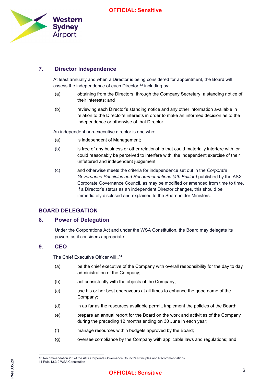

# 7. Director Independence

At least annually and when a Director is being considered for appointment, the Board will assess the independence of each Director- $13$  including by:

- (a) obtaining from the Directors, through the Company Secretary, a standing notice of their interests; and
- (b) reviewing each Director's standing notice and any other information available in relation to the Director's interests in order to make an informed decision as to the independence or otherwise of that Director.

An independent non-executive director is one who:

- (a) is independent of Management;
- (b) is free of any business or other relationship that could materially interfere with, or could reasonably be perceived to interfere with, the independent exercise of their unfettered and independent judgement;
- (c) and otherwise meets the criteria for independence set out in the Corporate Governance Principles and Recommendations (4th Edition) published by the ASX Corporate Governance Council, as may be modified or amended from time to time. If a Director's status as an independent Director changes, this should be immediately disclosed and explained to the Shareholder Ministers.

# BOARD DELEGATION

#### 8. Power of Delegation

Under the Corporations Act and under the WSA Constitution, the Board may delegate its powers as it considers appropriate.

# 9. CEO

The Chief Executive Officer will:\_14

- (a) be the chief executive of the Company with overall responsibility for the day to day administration of the Company;
- (b) act consistently with the objects of the Company;
- (c) use his or her best endeavours at all times to enhance the good name of the Company;
- (d) in as far as the resources available permit, implement the policies of the Board;
- (e) prepare an annual report for the Board on the work and activities of the Company during the preceding 12 months ending on 30 June in each year;
- (f) manage resources within budgets approved by the Board;
- (g) oversee compliance by the Company with applicable laws and regulations; and

Pan 14 Rule 13.<br>205<br>2<br>2<br>2 Recomm 13 Recommendation 2.3 of the ASX Corporate Governance Council's Principles and Recommendations 14 Rule 13.3.2 WSA Constitution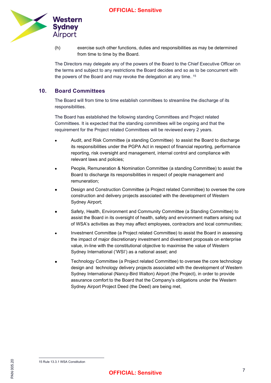

(h) exercise such other functions, duties and responsibilities as may be determined from time to time by the Board.

The Directors may delegate any of the powers of the Board to the Chief Executive Officer on the terms and subject to any restrictions the Board decides and so as to be concurrent with the powers of the Board and may revoke the delegation at any time... $^\mathrm{15}$ 

#### 10. Board Committees

The Board will from time to time establish committees to streamline the discharge of its responsibilities.

The Board has established the following standing Committees and Project related Committees. It is expected that the standing committees will be ongoing and that the requirement for the Project related Committees will be reviewed every 2 years.

- Audit, and Risk Committee (a standing Committee) to assist the Board to discharge its responsibilities under the PGPA Act in respect of financial reporting, performance reporting, risk oversight and management, internal control and compliance with relevant laws and policies;
- People, Remuneration & Nomination Committee (a standing Committee) to assist the Board to discharge its responsibilities in respect of people management and remuneration;
- Design and Construction Committee (a Project related Committee) to oversee the core construction and delivery projects associated with the development of Western Sydney Airport;
- Safety, Health, Environment and Community Committee (a Standing Committee) to assist the Board in its oversight of health, safety and environment matters arising out of WSA's activities as they may affect employees, contractors and local communities;
- Investment Committee (a Project related Committee) to assist the Board in assessing the impact of major discretionary investment and divestment proposals on enterprise value, in-line with the constitutional objective to maximise the value of Western Sydney International ('WSI') as a national asset; and
- Technology Committee (a Project related Committee) to oversee the core technology design and technology delivery projects associated with the development of Western Sydney International (Nancy-Bird Walton) Airport (the Project), in order to provide assurance comfort to the Board that the Company's obligations under the Western Sydney Airport Project Deed (the Deed) are being met.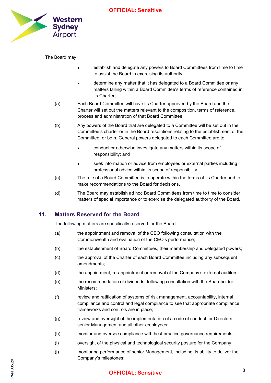

The Board may:

- establish and delegate any powers to Board Committees from time to time to assist the Board in exercising its authority;
- determine any matter that it has delegated to a Board Committee or any matters falling within a Board Committee's terms of reference contained in its Charter;
- (a) Each Board Committee will have its Charter approved by the Board and the Charter will set out the matters relevant to the composition, terms of reference, process and administration of that Board Committee.
- (b) Any powers of the Board that are delegated to a Committee will be set out in the Committee's charter or in the Board resolutions relating to the establishment of the Committee, or both. General powers delegated to each Committee are to:
	- conduct or otherwise investigate any matters within its scope of responsibility; and
	- seek information or advice from employees or external parties including professional advice within its scope of responsibility.
- (c) The role of a Board Committee is to operate within the terms of its Charter and to make recommendations to the Board for decisions.
- (d) The Board may establish ad hoc Board Committees from time to time to consider matters of special importance or to exercise the delegated authority of the Board.

#### 11. Matters Reserved for the Board

The following matters are specifically reserved for the Board:

- (a) the appointment and removal of the CEO following consultation with the Commonwealth and evaluation of the CEO's performance;
- (b) the establishment of Board Committees, their membership and delegated powers;
- (c) the approval of the Charter of each Board Committee including any subsequent amendments;
- (d) the appointment, re-appointment or removal of the Company's external auditors;
- (e) the recommendation of dividends, following consultation with the Shareholder Ministers;
- (f) review and ratification of systems of risk management, accountability, internal compliance and control and legal compliance to see that appropriate compliance frameworks and controls are in place;
- (g) review and oversight of the implementation of a code of conduct for Directors, senior Management and all other employees;
- (h) monitor and oversee compliance with best practice governance requirements;
- (i) oversight of the physical and technological security posture for the Company;
- PAN 005.20 (j) monitoring performance of senior Management, including its ability to deliver the Company's milestones;

# <sup>8</sup>OFFICIAL: Sensitive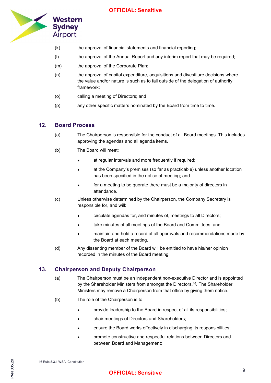

- (k) the approval of financial statements and financial reporting;
- (l) the approval of the Annual Report and any interim report that may be required;
- (m) the approval of the Corporate Plan;
- (n) the approval of capital expenditure, acquisitions and divestiture decisions where the value and/or nature is such as to fall outside of the delegation of authority framework;
- (o) calling a meeting of Directors; and
- (p) any other specific matters nominated by the Board from time to time.

#### 12. Board Process

- (a) The Chairperson is responsible for the conduct of all Board meetings. This includes approving the agendas and all agenda items.
- (b) The Board will meet:
	- at regular intervals and more frequently if required;
	- at the Company's premises (so far as practicable) unless another location has been specified in the notice of meeting; and
	- for a meeting to be quorate there must be a majority of directors in attendance.
- (c) Unless otherwise determined by the Chairperson, the Company Secretary is responsible for, and will:
	- circulate agendas for, and minutes of, meetings to all Directors;
	- take minutes of all meetings of the Board and Committees; and
	- maintain and hold a record of all approvals and recommendations made by the Board at each meeting.
- (d) Any dissenting member of the Board will be entitled to have his/her opinion recorded in the minutes of the Board meeting.

#### 13. Chairperson and Deputy Chairperson

- (a) The Chairperson must be an independent non-executive Director and is appointed by the Shareholder Ministers from amongst the Directors.<sup>16</sup>. The Shareholder Ministers may remove a Chairperson from that office by giving them notice.
- (b) The role of the Chairperson is to:
	- provide leadership to the Board in respect of all its responsibilities;
	- chair meetings of Directors and Shareholders;
	- ensure the Board works effectively in discharging its responsibilities;
	- promote constructive and respectful relations between Directors and between Board and Management;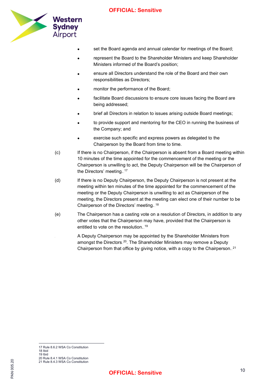

- set the Board agenda and annual calendar for meetings of the Board;
- represent the Board to the Shareholder Ministers and keep Shareholder Ministers informed of the Board's position;
- ensure all Directors understand the role of the Board and their own responsibilities as Directors;
- monitor the performance of the Board;
- facilitate Board discussions to ensure core issues facing the Board are being addressed;
- brief all Directors in relation to issues arising outside Board meetings;
- to provide support and mentoring for the CEO in running the business of the Company; and
- exercise such specific and express powers as delegated to the Chairperson by the Board from time to time.
- (c) If there is no Chairperson, if the Chairperson is absent from a Board meeting within 10 minutes of the time appointed for the commencement of the meeting or the Chairperson is unwilling to act, the Deputy Chairperson will be the Chairperson of the Directors' meeting...<sup>17</sup>
- (d) If there is no Deputy Chairperson, the Deputy Chairperson is not present at the meeting within ten minutes of the time appointed for the commencement of the meeting or the Deputy Chairperson is unwilling to act as Chairperson of the meeting, the Directors present at the meeting can elect one of their number to be Chairperson of the Directors' meeting.<sup>18</sup>
- (e) The Chairperson has a casting vote on a resolution of Directors, in addition to any other votes that the Chairperson may have, provided that the Chairperson is entitled to vote on the resolution...<sup>19</sup>

A Deputy Chairperson may be appointed by the Shareholder Ministers from amongst the Directors.<sup>20</sup>. The Shareholder Ministers may remove a Deputy Chairperson from that office by giving notice, with a copy to the Chairperson.  $21$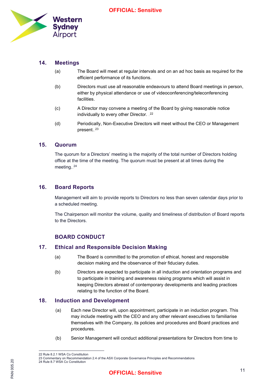

# 14. Meetings

- (a) The Board will meet at regular intervals and on an ad hoc basis as required for the efficient performance of its functions.
- (b) Directors must use all reasonable endeavours to attend Board meetings in person, either by physical attendance or use of videoconferencing/teleconferencing facilities.
- (c) A Director may convene a meeting of the Board by giving reasonable notice individually to every other Director.  $22$
- (d) Periodically, Non-Executive Directors will meet without the CEO or Management present.<sup>23</sup>

#### 15. Quorum

The quorum for a Directors' meeting is the majority of the total number of Directors holding office at the time of the meeting. The quorum must be present at all times during the meeting. $24$ 

#### 16. Board Reports

Management will aim to provide reports to Directors no less than seven calendar days prior to a scheduled meeting.

The Chairperson will monitor the volume, quality and timeliness of distribution of Board reports to the Directors.

# BOARD CONDUCT

#### 17. Ethical and Responsible Decision Making

- (a) The Board is committed to the promotion of ethical, honest and responsible decision making and the observance of their fiduciary duties.
- (b) Directors are expected to participate in all induction and orientation programs and to participate in training and awareness raising programs which will assist in keeping Directors abreast of contemporary developments and leading practices relating to the function of the Board.

#### 18. Induction and Development

- (a) Each new Director will, upon appointment, participate in an induction program. This may include meeting with the CEO and any other relevant executives to familiarise themselves with the Company, its policies and procedures and Board practices and procedures.
- (b) Senior Management will conduct additional presentations for Directors from time to

<sup>22</sup> Rule 8.2.1 WSA Co Constitution

Solumner<br>
24 Rule 8.7<br>
24 Rule 8.7<br>
25 Commercial 23 Commentary on Recommendation 2.4 of the ASX Corporate Governance Principles and Recommendations 24 Rule 8.7 WSA Co Constitution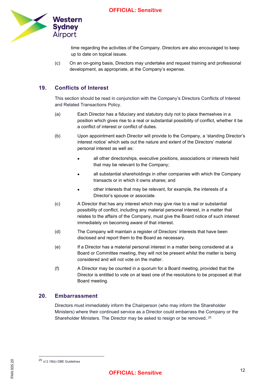

time regarding the activities of the Company. Directors are also encouraged to keep up to date on topical issues.

(c) On an on-going basis, Directors may undertake and request training and professional development, as appropriate, at the Company's expense.

# 19. Conflicts of Interest

This section should be read in conjunction with the Company's Directors Conflicts of Interest and Related Transactions Policy.

- (a) Each Director has a fiduciary and statutory duty not to place themselves in a position which gives rise to a real or substantial possibility of conflict, whether it be a conflict of interest or conflict of duties.
- (b) Upon appointment each Director will provide to the Company, a 'standing Director's interest notice' which sets out the nature and extent of the Directors' material personal interest as well as:
	- all other directorships, executive positions, associations or interests held that may be relevant to the Company;
	- all substantial shareholdings in other companies with which the Company transacts or in which it owns shares; and
	- other interests that may be relevant, for example, the interests of a Director's spouse or associate.
- (c) A Director that has any interest which may give rise to a real or substantial possibility of conflict, including any material personal interest, in a matter that relates to the affairs of the Company, must give the Board notice of such interest immediately on becoming aware of that interest.
- (d) The Company will maintain a register of Directors' interests that have been disclosed and report them to the Board as necessary.
- (e) If a Director has a material personal interest in a matter being considered at a Board or Committee meeting, they will not be present whilst the matter is being considered and will not vote on the matter.
- (f) A Director may be counted in a quorum for a Board meeting, provided that the Director is entitled to vote on at least one of the resolutions to be proposed at that Board meeting.

### 20. Embarrassment

Directors must immediately inform the Chairperson (who may inform the Shareholder Ministers) where their continued service as a Director could embarrass the Company or the Shareholder Ministers. The Director may be asked to resign or be removed. $25$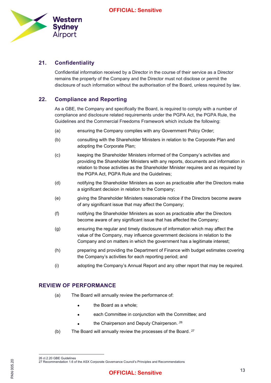

# 21. Confidentiality

Confidential information received by a Director in the course of their service as a Director remains the property of the Company and the Director must not disclose or permit the disclosure of such information without the authorisation of the Board, unless required by law.

# 22. Compliance and Reporting

As a GBE, the Company and specifically the Board, is required to comply with a number of compliance and disclosure related requirements under the PGPA Act, the PGPA Rule, the Guidelines and the Commercial Freedoms Framework which include the following:

- (a) ensuring the Company complies with any Government Policy Order;
- (b) consulting with the Shareholder Ministers in relation to the Corporate Plan and adopting the Corporate Plan;
- (c) keeping the Shareholder Ministers informed of the Company's activities and providing the Shareholder Ministers with any reports, documents and information in relation to those activities as the Shareholder Minister requires and as required by the PGPA Act, PGPA Rule and the Guidelines;
- (d) notifying the Shareholder Ministers as soon as practicable after the Directors make a significant decision in relation to the Company;
- (e) giving the Shareholder Ministers reasonable notice if the Directors become aware of any significant issue that may affect the Company;
- (f) notifying the Shareholder Ministers as soon as practicable after the Directors become aware of any significant issue that has affected the Company;
- (g) ensuring the regular and timely disclosure of information which may affect the value of the Company, may influence government decisions in relation to the Company and on matters in which the government has a legitimate interest;
- (h) preparing and providing the Department of Finance with budget estimates covering the Company's activities for each reporting period; and
- (i) adopting the Company's Annual Report and any other report that may be required.

#### REVIEW OF PERFORMANCE

- (a) The Board will annually review the performance of:
	- the Board as a whole:
	- each Committee in conjunction with the Committee; and
	- the Chairperson and Deputy Chairperson. $-26$
- (b) The Board will annually review the processes of the Board. $27$

<sup>26</sup> cl.2.20 GBE Guidelines<br>27 Recommendation 1.6 of<br>25<br>25<br>0. 27 Recommendation 1.6 of the ASX Corporate Governance Council's Principles and Recommendations